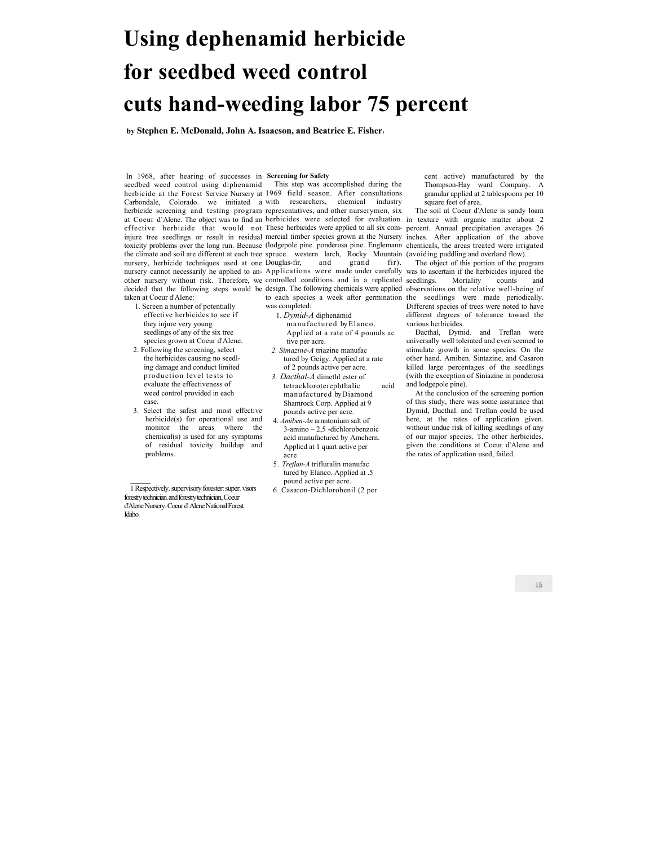# **Using dephenamid herbicide for seedbed weed control cuts hand-weeding labor 75 percent**

**by Stephen E. McDonald, John A. Isaacson, and Beatrice E. Fisher1** 

 In 1968, after hearing of successes in **Screening for Safety**  seedbed weed control using diphenamid taken at Coeur d'Alene:

- 1. Screen a number of potentially effective herbicides to see if they injure very young seedlings of any of the six tree species grown at Coeur d'Alene.
- 2. Following the screening, select the herbicides causing no seedling damage and conduct limited production level tests to evaluate the effectiveness of weed control provided in each case.
- 3. Select the safest and most effective herbicide(s) for operational use and monitor the areas where the chemical(s) is used for any symptoms of residual toxicity buildup and problems.

1 Respectively. supervisory forester: super. visors forestry technician. and forestry technician, Coeur d'Alene Nursery. Coeur d' Alene National Forest. Idaho.

 $\mathcal{L}_\text{max}$ 

herbicide at the Forest Service Nursery at 1969 field season. After consultations Carbondale, Colorado. we initiated a with researchers, chemical industry herbicide screening and testing program representatives, and other nurserymen, six at Coeur d'Alene. The object was to find an herbicides were selected for evaluation. in texture with organic matter about 2 effective herbicide that would not These herbicides were applied to all six com-percent. Annual precipitation averages 26 injure tree seedlings or result in residual mercial timber species grown at the Nursery inches. After application of the above toxicity problems over the long run. Because (lodgepole pine. ponderosa pine. Englemann chemicals, the areas treated were irrigated the climate and soil are different at each tree spruce. western larch, Rocky Mountain (avoiding puddling and overland flow). nursery, herbicide techniques used at one Douglas-fir, and grand fir). nursery cannot necessarily he applied to an-Applications were made under carefully was to ascertain if the herbicides injured the This step was accomplished during the

was completed:

- 1. *Dymid-A* diphenamid manufactured by Elanco. Applied at a rate of 4 pounds ac tive per acre.
- *2. Simazine-A* triazine manufac tured by Geigy. Applied at a rate of 2 pounds active per acre.
- *3. Dacthal-A* dimethl ester of tetrackloroterephthalic acid manufactured by Diamond Shamrock Corp. Applied at 9 pounds active per acre.
- 4. *Amiben-An* arnntonium salt of 3-amino – 2,5 -dichlorobenzoic acid manufactured by Amchern. Applied at 1 quart active per acre.
- 5. *Treflan-A* trifluralin manufac tured by Elanco. Applied at .5 pound active per acre.
- 6. Casaron-Dichlorobenil (2 per

cent active) manufactured by the Thompson-Hay ward Company. A granular applied at 2 tablespoons per 10 square feet of area.

The soil at Coeur d'Alene is sandy loam

other nursery without risk. Therefore, we controlled conditions and in a replicated seedlings. Mortality counts and decided that the following steps would be design. The following chemicals were applied observations on the relative well-being of to each species a week after germination the seedlings were made periodically. The object of this portion of the program Different species of trees were noted to have different degrees of tolerance toward the various herbicides.

Dacthal, Dymid. and Treflan were universally well tolerated and even seemed to stimulate growth in some species. On the other hand. Amiben. Sintazine, and Casaron killed large percentages of the seedlings (with the exception of Siniazine in ponderosa and lodgepole pine).

At the conclusion of the screening portion of this study, there was some assurance that Dymid, Dacthal. and Treflan could be used here, at the rates of application given. without undue risk of killing seedlings of any of our major species. The other herbicides. given the conditions at Coeur d'Alene and the rates of application used, failed.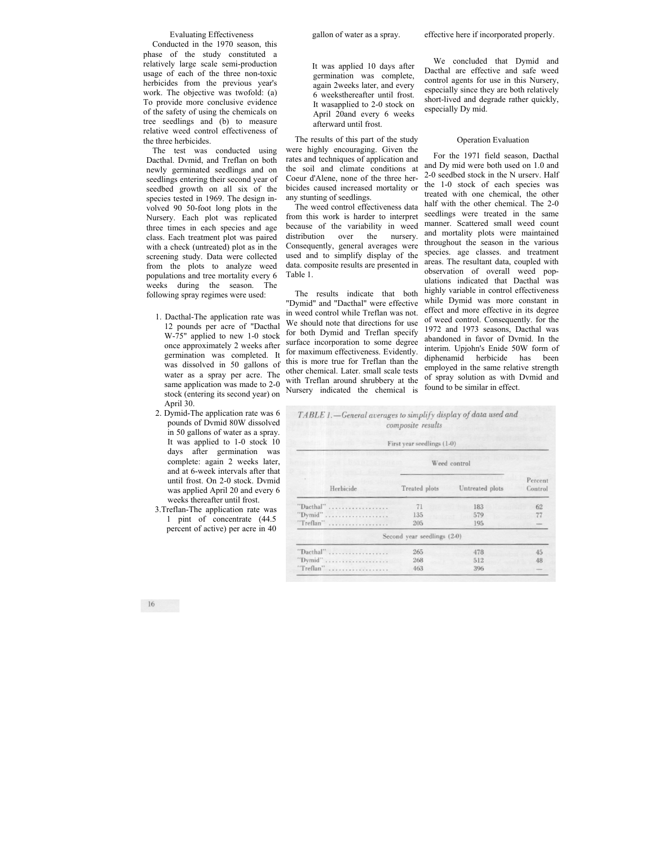### Evaluating Effectiveness

Conducted in the 1970 season, this phase of the study constituted a relatively large scale semi-production usage of each of the three non-toxic herbicides from the previous year's work. The objective was twofold: (a) To provide more conclusive evidence of the safety of using the chemicals on tree seedlings and (b) to measure relative weed control effectiveness of the three herbicides.

The test was conducted using Dacthal. Dvmid, and Treflan on both newly germinated seedlings and on seedlings entering their second year of seedbed growth on all six of the species tested in 1969. The design involved 90 50-foot long plots in the Nursery. Each plot was replicated three times in each species and age class. Each treatment plot was paired with a check (untreated) plot as in the screening study. Data were collected from the plots to analyze weed populations and tree mortality every 6 weeks during the season. The following spray regimes were used:

- 1. Dacthal-The application rate was 12 pounds per acre of "Dacthal W-75" applied to new 1-0 stock once approximately 2 weeks after germination was completed. It was dissolved in 50 gallons of water as a spray per acre. The same application was made to 2-0 stock (entering its second year) on April 30.
- 2. Dymid-The application rate was 6 pounds of Dvmid 80W dissolved in 50 gallons of water as a spray. It was applied to 1-0 stock 10 days after germination was complete: again 2 weeks later, and at 6-week intervals after that until frost. On 2-0 stock. Dvmid was applied April 20 and every 6 weeks thereafter until frost.
- 3.Treflan-The application rate was 1 pint of concentrate (44.5 percent of active) per acre in 40

It was applied 10 days after germination was complete, again 2weeks later, and every 6 weeksthereafter until frost. It wasapplied to 2-0 stock on April 20and every 6 weeks afterward until frost.

The results of this part of the study were highly encouraging. Given the rates and techniques of application and the soil and climate conditions at Coeur d'Alene, none of the three herbicides caused increased mortality or any stunting of seedlings.

The weed control effectiveness data from this work is harder to interpret because of the variability in weed distribution over the nursery. Consequently, general averages were used and to simplify display of the data. composite results are presented in Table 1.

The results indicate that both "Dymid" and "Dacthal" were effective in weed control while Treflan was not. We should note that directions for use for both Dymid and Treflan specify surface incorporation to some degree for maximum effectiveness. Evidently. this is more true for Treflan than the other chemical. Later. small scale tests with Treflan around shrubbery at the Nursery indicated the chemical is

We concluded that Dymid and Dacthal are effective and safe weed control agents for use in this Nursery, especially since they are both relatively short-lived and degrade rather quickly, especially Dy mid.

#### Operation Evaluation

For the 1971 field season, Dacthal and Dy mid were both used on 1.0 and 2-0 seedbed stock in the N urserv. Half the 1-0 stock of each species was treated with one chemical, the other half with the other chemical. The 2-0 seedlings were treated in the same manner. Scattered small weed count and mortality plots were maintained throughout the season in the various species. age classes. and treatment areas. The resultant data, coupled with observation of overall weed populations indicated that Dacthal was highly variable in control effectiveness while Dymid was more constant in effect and more effective in its degree of weed control. Consequently. for the 1972 and 1973 seasons, Dacthal was abandoned in favor of Dvmid. In the interim. Upjohn's Enide 50W form of diphenamid herbicide has been employed in the same relative strength of spray solution as with Dvmid and found to be similar in effect.

| TABLE 1. - General averages to simplify display of data used and<br>composite results<br>First year seedlings (1-0) |                             |                 |                    |
|---------------------------------------------------------------------------------------------------------------------|-----------------------------|-----------------|--------------------|
|                                                                                                                     | Weed control                |                 |                    |
| Herbicide                                                                                                           | Treated plots               | Untreated plots | Percent<br>Control |
| "Dacthal"                                                                                                           | 71                          | 183             | 62                 |
| "Dymid"                                                                                                             | 135                         | 579             | 77                 |
| "Treflan"                                                                                                           | 205                         | 195             |                    |
|                                                                                                                     | Second year seedlings (2-0) |                 |                    |
| "Dacthal"                                                                                                           | 265                         | 478             | 45                 |
| "Dymid"                                                                                                             | 268                         | 512             | 48                 |
| "Treflan"<br>.                                                                                                      | 463                         | 396             |                    |

 $16$ 

effective here if incorporated properly.